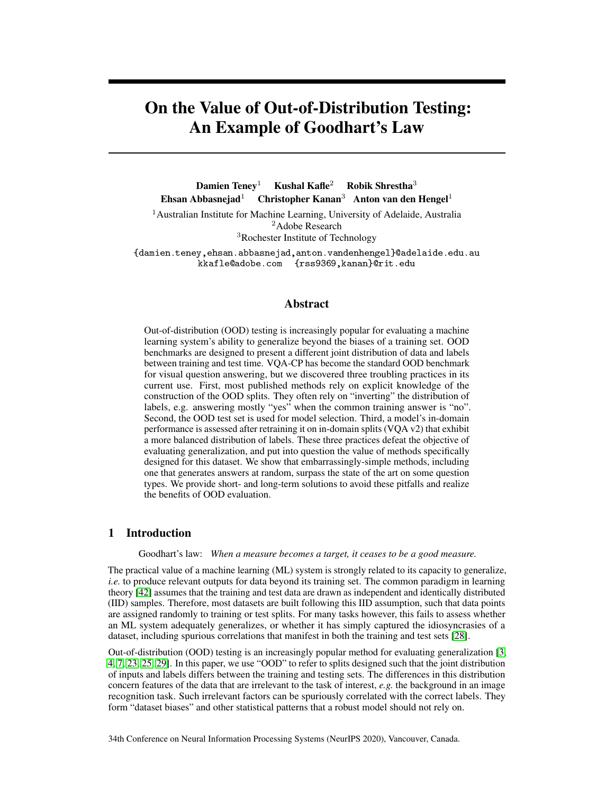# On the Value of Out-of-Distribution Testing: An Example of Goodhart's Law

Damien Teney<sup>1</sup> Kushal Kafle<sup>2</sup> Robik Shrestha<sup>3</sup> Ehsan Abbasnejad<sup>1</sup> Christopher Kanan<sup>3</sup> Anton van den Hengel<sup>1</sup>

<sup>1</sup> Australian Institute for Machine Learning, University of Adelaide, Australia <sup>2</sup>Adobe Research <sup>3</sup>Rochester Institute of Technology

{damien.teney,ehsan.abbasnejad,anton.vandenhengel}@adelaide.edu.au kkafle@adobe.com {rss9369,kanan}@rit.edu

## Abstract

Out-of-distribution (OOD) testing is increasingly popular for evaluating a machine learning system's ability to generalize beyond the biases of a training set. OOD benchmarks are designed to present a different joint distribution of data and labels between training and test time. VQA-CP has become the standard OOD benchmark for visual question answering, but we discovered three troubling practices in its current use. First, most published methods rely on explicit knowledge of the construction of the OOD splits. They often rely on "inverting" the distribution of labels, e.g. answering mostly "yes" when the common training answer is "no". Second, the OOD test set is used for model selection. Third, a model's in-domain performance is assessed after retraining it on in-domain splits (VQA v2) that exhibit a more balanced distribution of labels. These three practices defeat the objective of evaluating generalization, and put into question the value of methods specifically designed for this dataset. We show that embarrassingly-simple methods, including one that generates answers at random, surpass the state of the art on some question types. We provide short- and long-term solutions to avoid these pitfalls and realize the benefits of OOD evaluation.

## 1 Introduction

Goodhart's law: *When a measure becomes a target, it ceases to be a good measure.*

The practical value of a machine learning (ML) system is strongly related to its capacity to generalize, *i.e.* to produce relevant outputs for data beyond its training set. The common paradigm in learning theory [\[42\]](#page-10-0) assumes that the training and test data are drawn as independent and identically distributed (IID) samples. Therefore, most datasets are built following this IID assumption, such that data points are assigned randomly to training or test splits. For many tasks however, this fails to assess whether an ML system adequately generalizes, or whether it has simply captured the idiosyncrasies of a dataset, including spurious correlations that manifest in both the training and test sets [\[28\]](#page-9-0).

Out-of-distribution (OOD) testing is an increasingly popular method for evaluating generalization [\[3,](#page-8-0) [4,](#page-8-1) [7,](#page-8-2) [23,](#page-9-1) [25,](#page-9-2) [29\]](#page-9-3). In this paper, we use "OOD" to refer to splits designed such that the joint distribution of inputs and labels differs between the training and testing sets. The differences in this distribution concern features of the data that are irrelevant to the task of interest, *e.g.* the background in an image recognition task. Such irrelevant factors can be spuriously correlated with the correct labels. They form "dataset biases" and other statistical patterns that a robust model should not rely on.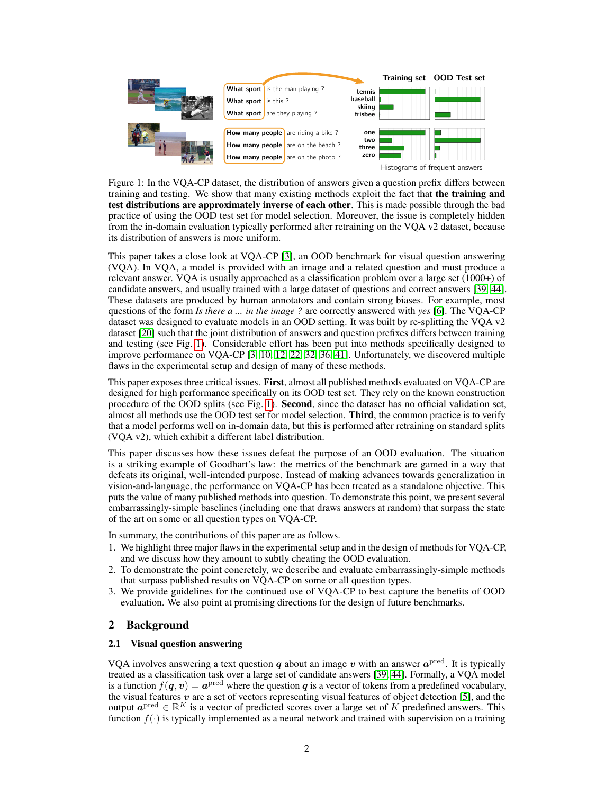<span id="page-1-0"></span>

Figure 1: In the VQA-CP dataset, the distribution of answers given a question prefix differs between training and testing. We show that many existing methods exploit the fact that the training and test distributions are approximately inverse of each other. This is made possible through the bad practice of using the OOD test set for model selection. Moreover, the issue is completely hidden from the in-domain evaluation typically performed after retraining on the VQA v2 dataset, because its distribution of answers is more uniform.

This paper takes a close look at VQA-CP [\[3\]](#page-8-0), an OOD benchmark for visual question answering (VQA). In VQA, a model is provided with an image and a related question and must produce a relevant answer. VQA is usually approached as a classification problem over a large set (1000+) of candidate answers, and usually trained with a large dataset of questions and correct answers [\[39,](#page-10-1) [44\]](#page-10-2). These datasets are produced by human annotators and contain strong biases. For example, most questions of the form *Is there a ... in the image ?* are correctly answered with *yes* [\[6\]](#page-8-3). The VQA-CP dataset was designed to evaluate models in an OOD setting. It was built by re-splitting the VQA v2 dataset [\[20\]](#page-9-4) such that the joint distribution of answers and question prefixes differs between training and testing (see Fig. [1\)](#page-1-0). Considerable effort has been put into methods specifically designed to improve performance on VQA-CP [\[3,](#page-8-0) [10,](#page-8-4) [12,](#page-9-5) [22,](#page-9-6) [32,](#page-9-7) [36,](#page-10-3) [41\]](#page-10-4). Unfortunately, we discovered multiple flaws in the experimental setup and design of many of these methods.

This paper exposes three critical issues. First, almost all published methods evaluated on VQA-CP are designed for high performance specifically on its OOD test set. They rely on the known construction procedure of the OOD splits (see Fig. [1\)](#page-1-0). Second, since the dataset has no official validation set, almost all methods use the OOD test set for model selection. **Third**, the common practice is to verify that a model performs well on in-domain data, but this is performed after retraining on standard splits (VQA v2), which exhibit a different label distribution.

This paper discusses how these issues defeat the purpose of an OOD evaluation. The situation is a striking example of Goodhart's law: the metrics of the benchmark are gamed in a way that defeats its original, well-intended purpose. Instead of making advances towards generalization in vision-and-language, the performance on VQA-CP has been treated as a standalone objective. This puts the value of many published methods into question. To demonstrate this point, we present several embarrassingly-simple baselines (including one that draws answers at random) that surpass the state of the art on some or all question types on VQA-CP.

In summary, the contributions of this paper are as follows.

- 1. We highlight three major flaws in the experimental setup and in the design of methods for VQA-CP, and we discuss how they amount to subtly cheating the OOD evaluation.
- 2. To demonstrate the point concretely, we describe and evaluate embarrassingly-simple methods that surpass published results on VQA-CP on some or all question types.
- 3. We provide guidelines for the continued use of VQA-CP to best capture the benefits of OOD evaluation. We also point at promising directions for the design of future benchmarks.

# 2 Background

## 2.1 Visual question answering

VQA involves answering a text question  $q$  about an image  $v$  with an answer  $a^{\text{pred}}$ . It is typically treated as a classification task over a large set of candidate answers [\[39,](#page-10-1) [44\]](#page-10-2). Formally, a VQA model is a function  $f(\boldsymbol{q}, \boldsymbol{v}) = \boldsymbol{a}^{\text{pred}}$  where the question  $\boldsymbol{q}$  is a vector of tokens from a predefined vocabulary, the visual features  $v$  are a set of vectors representing visual features of object detection [\[5\]](#page-8-5), and the output  $a^{\text{pred}} \in \mathbb{R}^K$  is a vector of predicted scores over a large set of K predefined answers. This function  $f(\cdot)$  is typically implemented as a neural network and trained with supervision on a training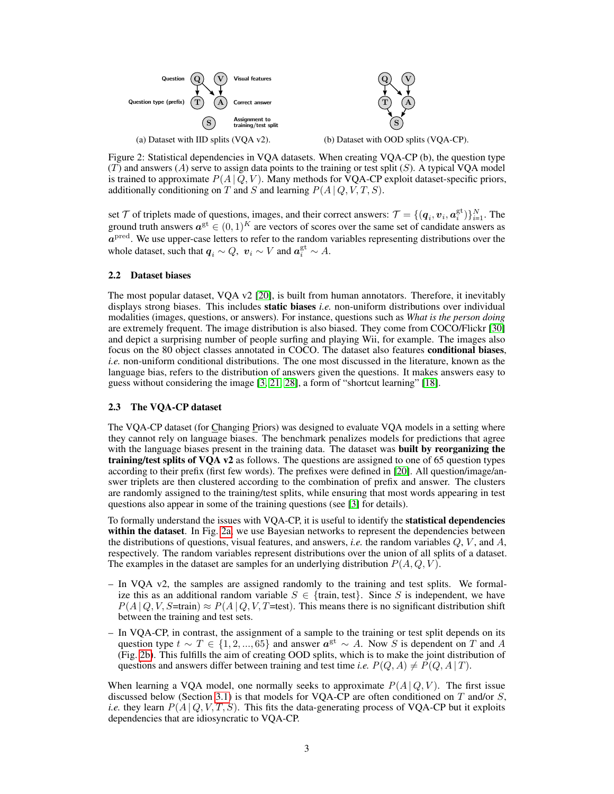<span id="page-2-0"></span>

Figure 2: Statistical dependencies in VQA datasets. When creating VQA-CP (b), the question type  $(T)$  and answers  $(A)$  serve to assign data points to the training or test split  $(S)$ . A typical VQA model is trained to approximate  $P(A | Q, V)$ . Many methods for VQA-CP exploit dataset-specific priors, additionally conditioning on T and S and learning  $P(A | Q, V, T, S)$ .

set  $\mathcal T$  of triplets made of questions, images, and their correct answers:  $\mathcal T = \{(\bm q_i, \bm v_i, \bm a_i^{\text{gt}})\}_{i=1}^N$ . The ground truth answers  $a^{gt} \in (0,1)^K$  are vectors of scores over the same set of candidate answers as  $a<sup>pred</sup>$ . We use upper-case letters to refer to the random variables representing distributions over the whole dataset, such that  $q_i \sim Q$ ,  $v_i \sim V$  and  $a_i^{\text{gt}} \sim A$ .

#### 2.2 Dataset biases

The most popular dataset, VQA v2 [\[20\]](#page-9-4), is built from human annotators. Therefore, it inevitably displays strong biases. This includes static biases *i.e.* non-uniform distributions over individual modalities (images, questions, or answers). For instance, questions such as *What is the person doing* are extremely frequent. The image distribution is also biased. They come from COCO/Flickr [\[30\]](#page-9-8) and depict a surprising number of people surfing and playing Wii, for example. The images also focus on the 80 object classes annotated in COCO. The dataset also features conditional biases, *i.e.* non-uniform conditional distributions. The one most discussed in the literature, known as the language bias, refers to the distribution of answers given the questions. It makes answers easy to guess without considering the image [\[3,](#page-8-0) [21,](#page-9-9) [28\]](#page-9-0), a form of "shortcut learning" [\[18\]](#page-9-10).

#### <span id="page-2-1"></span>2.3 The VQA-CP dataset

The VQA-CP dataset (for Changing Priors) was designed to evaluate VQA models in a setting where they cannot rely on language biases. The benchmark penalizes models for predictions that agree with the language biases present in the training data. The dataset was **built by reorganizing the** training/test splits of VQA v2 as follows. The questions are assigned to one of 65 question types according to their prefix (first few words). The prefixes were defined in [\[20\]](#page-9-4). All question/image/answer triplets are then clustered according to the combination of prefix and answer. The clusters are randomly assigned to the training/test splits, while ensuring that most words appearing in test questions also appear in some of the training questions (see [\[3\]](#page-8-0) for details).

To formally understand the issues with VQA-CP, it is useful to identify the statistical dependencies within the dataset. In Fig. [2a,](#page-2-0) we use Bayesian networks to represent the dependencies between the distributions of questions, visual features, and answers, *i.e.* the random variables  $Q$ ,  $V$ , and  $A$ , respectively. The random variables represent distributions over the union of all splits of a dataset. The examples in the dataset are samples for an underlying distribution  $P(A, Q, V)$ .

- In VQA v2, the samples are assigned randomly to the training and test splits. We formalize this as an additional random variable  $S \in \{$ train, test $\}$ . Since S is independent, we have  $P(A | Q, V, S=train) \approx P(A | Q, V, T=test)$ . This means there is no significant distribution shift between the training and test sets.
- In VQA-CP, in contrast, the assignment of a sample to the training or test split depends on its question type  $t \sim T \in \{1, 2, ..., 65\}$  and answer  $a^{gt} \sim A$ . Now S is dependent on T and A (Fig. [2b\)](#page-2-0). This fulfills the aim of creating OOD splits, which is to make the joint distribution of questions and answers differ between training and test time *i.e.*  $P(Q, A) \neq P(Q, A | T)$ .

When learning a VQA model, one normally seeks to approximate  $P(A | Q, V)$ . The first issue discussed below (Section [3.1\)](#page-3-0) is that models for VQA-CP are often conditioned on  $T$  and/or  $S$ , *i.e.* they learn  $P(A | Q, V, T, S)$ . This fits the data-generating process of VQA-CP but it exploits dependencies that are idiosyncratic to VQA-CP.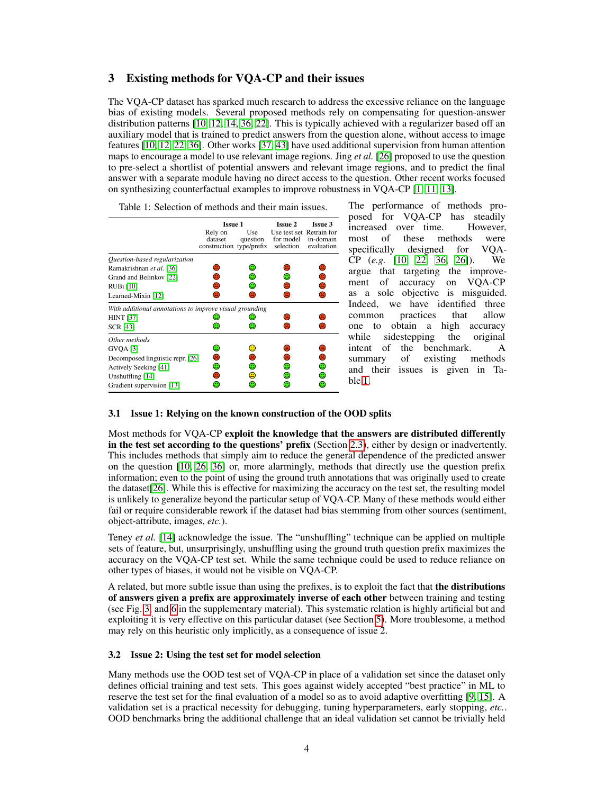# 3 Existing methods for VQA-CP and their issues

The VQA-CP dataset has sparked much research to address the excessive reliance on the language bias of existing models. Several proposed methods rely on compensating for question-answer distribution patterns [\[10,](#page-8-4) [12,](#page-9-5) [14,](#page-9-11) [36,](#page-10-3) [22\]](#page-9-6). This is typically achieved with a regularizer based off an auxiliary model that is trained to predict answers from the question alone, without access to image features [\[10,](#page-8-4) [12,](#page-9-5) [22,](#page-9-6) [36\]](#page-10-3). Other works [\[37,](#page-10-5) [43\]](#page-10-6) have used additional supervision from human attention maps to encourage a model to use relevant image regions. Jing *et al.* [\[26\]](#page-9-12) proposed to use the question to pre-select a shortlist of potential answers and relevant image regions, and to predict the final answer with a separate module having no direct access to the question. Other recent works focused on synthesizing counterfactual examples to improve robustness in VQA-CP [\[1,](#page-8-6) [11,](#page-8-7) [13\]](#page-9-13).

<span id="page-3-1"></span>

|                                                         | Issue 1                                        |                 | <b>Issue 2</b>                                     | <b>Issue 3</b>               |  |  |
|---------------------------------------------------------|------------------------------------------------|-----------------|----------------------------------------------------|------------------------------|--|--|
|                                                         | Rely on<br>dataset<br>construction type/prefix | Use<br>question | Use test set Retrain for<br>for model<br>selection | in-domain<br>evaluation      |  |  |
| Question-based regularization                           |                                                |                 |                                                    |                              |  |  |
| Ramakrishnan et al. [36]                                |                                                |                 |                                                    | ٨                            |  |  |
| Grand and Belinkov [22]                                 |                                                | ۰               |                                                    | ☺                            |  |  |
| RUBi [10]                                               |                                                | ☺               |                                                    | ☺                            |  |  |
| Learned-Mixin [12]                                      | $\left( \frac{1}{2} \right)$                   | $\mathbb{R}$    | $\left( \frac{1}{2} \right)$                       | €                            |  |  |
| With additional annotations to improve visual grounding |                                                |                 |                                                    |                              |  |  |
| <b>HINT [37]</b>                                        |                                                |                 |                                                    | Э                            |  |  |
| <b>SCR [43]</b>                                         |                                                |                 |                                                    | $\left( \frac{1}{2} \right)$ |  |  |
| Other methods                                           |                                                |                 |                                                    |                              |  |  |
| <b>GVOA</b> [3]                                         |                                                | Ξ               |                                                    | €                            |  |  |
| Decomposed linguistic repr. [26]                        |                                                | ×               |                                                    | €                            |  |  |
| Actively Seeking [41]                                   | O                                              | ☺               | ☺                                                  | ☺                            |  |  |
| Unshuffling [14]                                        |                                                | ⊕               |                                                    | ☺                            |  |  |
| Gradient supervision [13]                               |                                                |                 |                                                    | Ξ                            |  |  |

Table 1: Selection of methods and their main issues.

The performance of methods proposed for VQA-CP has steadily increased over time. However, most of these methods were specifically designed for VQA-CP (*e.g.* [\[10,](#page-8-4) [22,](#page-9-6) [36,](#page-10-3) [26\]](#page-9-12)). We argue that targeting the improvement of accuracy on VQA-CP as a sole objective is misguided. Indeed, we have identified three common practices that allow one to obtain a high accuracy while sidestepping the original intent of the benchmark. A summary of existing methods and their issues is given in Table [1.](#page-3-1)

#### <span id="page-3-0"></span>3.1 Issue 1: Relying on the known construction of the OOD splits

Most methods for VQA-CP exploit the knowledge that the answers are distributed differently in the test set according to the questions' prefix (Section [2.3\)](#page-2-1), either by design or inadvertently. This includes methods that simply aim to reduce the general dependence of the predicted answer on the question [\[10,](#page-8-4) [26,](#page-9-12) [36\]](#page-10-3) or, more alarmingly, methods that directly use the question prefix information; even to the point of using the ground truth annotations that was originally used to create the dataset[\[26\]](#page-9-12). While this is effective for maximizing the accuracy on the test set, the resulting model is unlikely to generalize beyond the particular setup of VQA-CP. Many of these methods would either fail or require considerable rework if the dataset had bias stemming from other sources (sentiment, object-attribute, images, *etc.*).

Teney *et al.* [\[14\]](#page-9-11) acknowledge the issue. The "unshuffling" technique can be applied on multiple sets of feature, but, unsurprisingly, unshuffling using the ground truth question prefix maximizes the accuracy on the VQA-CP test set. While the same technique could be used to reduce reliance on other types of biases, it would not be visible on VQA-CP.

A related, but more subtle issue than using the prefixes, is to exploit the fact that the distributions of answers given a prefix are approximately inverse of each other between training and testing (see Fig. [3,](#page-4-0) and [6](#page--1-0) in the supplementary material). This systematic relation is highly artificial but and exploiting it is very effective on this particular dataset (see Section [5\)](#page-5-0). More troublesome, a method may rely on this heuristic only implicitly, as a consequence of issue 2.

#### 3.2 Issue 2: Using the test set for model selection

Many methods use the OOD test set of VQA-CP in place of a validation set since the dataset only defines official training and test sets. This goes against widely accepted "best practice" in ML to reserve the test set for the final evaluation of a model so as to avoid adaptive overfitting [\[9,](#page-8-8) [15\]](#page-9-14). A validation set is a practical necessity for debugging, tuning hyperparameters, early stopping, *etc.*. OOD benchmarks bring the additional challenge that an ideal validation set cannot be trivially held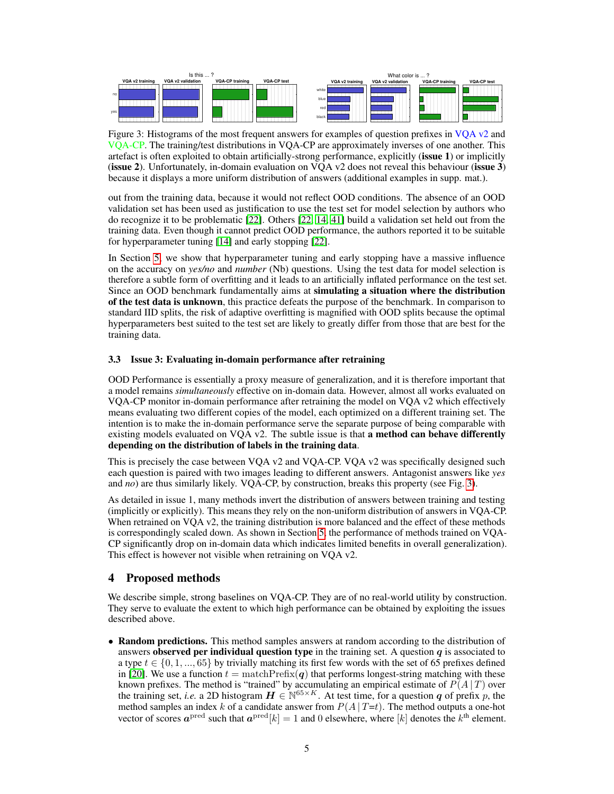<span id="page-4-0"></span>

Figure 3: Histograms of the most frequent answers for examples of question prefixes in VQA v2 and VQA-CP. The training/test distributions in VQA-CP are approximately inverses of one another. This artefact is often exploited to obtain artificially-strong performance, explicitly (issue 1) or implicitly (issue 2). Unfortunately, in-domain evaluation on VOA  $v2$  does not reveal this behaviour (issue 3) because it displays a more uniform distribution of answers (additional examples in supp. mat.).

out from the training data, because it would not reflect OOD conditions. The absence of an OOD validation set has been used as justification to use the test set for model selection by authors who do recognize it to be problematic [\[22\]](#page-9-6). Others [\[22,](#page-9-6) [14,](#page-9-11) [41\]](#page-10-4) build a validation set held out from the training data. Even though it cannot predict OOD performance, the authors reported it to be suitable for hyperparameter tuning [\[14\]](#page-9-11) and early stopping [\[22\]](#page-9-6).

In Section [5,](#page-5-0) we show that hyperparameter tuning and early stopping have a massive influence on the accuracy on *yes/no* and *number* (Nb) questions. Using the test data for model selection is therefore a subtle form of overfitting and it leads to an artificially inflated performance on the test set. Since an OOD benchmark fundamentally aims at simulating a situation where the distribution of the test data is unknown, this practice defeats the purpose of the benchmark. In comparison to standard IID splits, the risk of adaptive overfitting is magnified with OOD splits because the optimal hyperparameters best suited to the test set are likely to greatly differ from those that are best for the training data.

#### 3.3 Issue 3: Evaluating in-domain performance after retraining

OOD Performance is essentially a proxy measure of generalization, and it is therefore important that a model remains *simultaneously* effective on in-domain data. However, almost all works evaluated on VQA-CP monitor in-domain performance after retraining the model on VQA v2 which effectively means evaluating two different copies of the model, each optimized on a different training set. The intention is to make the in-domain performance serve the separate purpose of being comparable with existing models evaluated on VQA v2. The subtle issue is that a method can behave differently depending on the distribution of labels in the training data.

This is precisely the case between VQA v2 and VQA-CP. VQA v2 was specifically designed such each question is paired with two images leading to different answers. Antagonist answers like *yes* and *no*) are thus similarly likely. VQA-CP, by construction, breaks this property (see Fig. [3\)](#page-4-0).

As detailed in issue 1, many methods invert the distribution of answers between training and testing (implicitly or explicitly). This means they rely on the non-uniform distribution of answers in VQA-CP. When retrained on VQA v2, the training distribution is more balanced and the effect of these methods is correspondingly scaled down. As shown in Section [5,](#page-5-0) the performance of methods trained on VQA-CP significantly drop on in-domain data which indicates limited benefits in overall generalization). This effect is however not visible when retraining on VQA v2.

# 4 Proposed methods

We describe simple, strong baselines on VQA-CP. They are of no real-world utility by construction. They serve to evaluate the extent to which high performance can be obtained by exploiting the issues described above.

• Random predictions. This method samples answers at random according to the distribution of answers observed per individual question type in the training set. A question  $q$  is associated to a type  $t \in \{0, 1, ..., 65\}$  by trivially matching its first few words with the set of 65 prefixes defined in [\[20\]](#page-9-4). We use a function  $t = \text{matchPrefix}(q)$  that performs longest-string matching with these known prefixes. The method is "trained" by accumulating an empirical estimate of  $P(A | T)$  over the training set, *i.e.* a 2D histogram  $\mathbf{H} \in \mathbb{N}^{65 \times K}$ . At test time, for a question q of prefix p, the method samples an index k of a candidate answer from  $P(A | T=t)$ . The method outputs a one-hot vector of scores  $a^{\text{pred}}$  such that  $a^{\text{pred}}[k] = 1$  and 0 elsewhere, where  $[k]$  denotes the  $k^{\text{th}}$  element.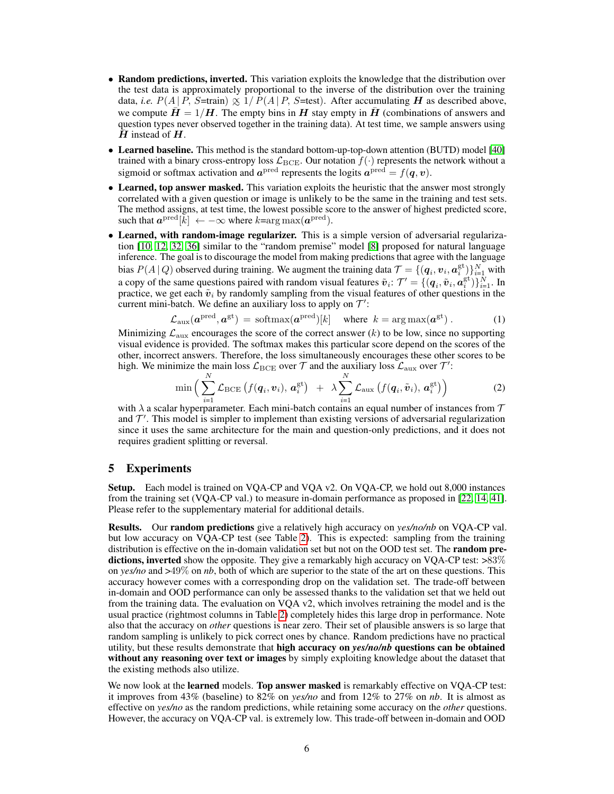- Random predictions, inverted. This variation exploits the knowledge that the distribution over the test data is approximately proportional to the inverse of the distribution over the training data, *i.e.*  $P(A | P, S=train) \propto 1/P(A | P, S=test)$ . After accumulating H as described above, we compute  $H = 1/H$ . The empty bins in H stay empty in H (combinations of answers and question types never observed together in the training data). At test time, we sample answers using  $\bar{H}$  instead of  $H$ .
- Learned baseline. This method is the standard bottom-up-top-down attention (BUTD) model [\[40\]](#page-10-7) trained with a binary cross-entropy loss  $\mathcal{L}_{BCE}$ . Our notation  $f(\cdot)$  represents the network without a sigmoid or softmax activation and  $a^{\text{pred}}$  represents the logits  $a^{\text{pred}} = f(q, v)$ .
- Learned, top answer masked. This variation exploits the heuristic that the answer most strongly correlated with a given question or image is unlikely to be the same in the training and test sets. The method assigns, at test time, the lowest possible score to the answer of highest predicted score, such that  $a^{\text{pred}}[\bar{k}] \leftarrow -\infty$  where  $k = \arg \max(a^{\text{pred}})$ .
- Learned, with random-image regularizer. This is a simple version of adversarial regularization [\[10,](#page-8-4) [12,](#page-9-5) [32,](#page-9-7) [36\]](#page-10-3) similar to the "random premise" model [\[8\]](#page-8-9) proposed for natural language inference. The goal is to discourage the model from making predictions that agree with the language bias  $P(A | Q)$  observed during training. We augment the training data  $\mathcal{T} = \{(\boldsymbol{q}_i, \boldsymbol{v}_i, \boldsymbol{a}_i^{\text{gt}})\}_{i=1}^N$  with a copy of the same questions paired with random visual features  $\tilde{v}_i$ :  $\mathcal{T}' = \{(\boldsymbol{q}_i, \tilde{v}_i, \boldsymbol{a}_i^{\text{gt}})\}_{i=1}^N$ . In practice, we get each  $\tilde{v}_i$  by randomly sampling from the visual features of other questions in the current mini-batch. We define an auxiliary loss to apply on  $\mathcal{T}'$ :

$$
\mathcal{L}_{\text{aux}}(\boldsymbol{a}^{\text{pred}}, \boldsymbol{a}^{\text{gt}}) = \text{softmax}(\boldsymbol{a}^{\text{pred}})[k] \quad \text{where } k = \arg \max(\boldsymbol{a}^{\text{gt}}) . \tag{1}
$$

Minimizing  $\mathcal{L}_{\text{aux}}$  encourages the score of the correct answer (k) to be low, since no supporting visual evidence is provided. The softmax makes this particular score depend on the scores of the other, incorrect answers. Therefore, the loss simultaneously encourages these other scores to be high. We minimize the main loss  $\mathcal{L}_{\text{BCE}}$  over  $\mathcal{T}$  and the auxiliary loss  $\mathcal{L}_{\text{aux}}$  over  $\mathcal{T}'$ :

$$
\min \Big( \sum_{i=1}^N \mathcal{L}_{\text{BCE}} \left( f(\boldsymbol{q}_i, \boldsymbol{v}_i), \, \boldsymbol{a}_i^{\text{gt}} \right) \ + \ \lambda \sum_{i=1}^N \mathcal{L}_{\text{aux}} \left( f(\boldsymbol{q}_i, \tilde{\boldsymbol{v}}_i), \, \boldsymbol{a}_i^{\text{gt}} \right) \Big) \tag{2}
$$

with  $\lambda$  a scalar hyperparameter. Each mini-batch contains an equal number of instances from  $\tau$ and  $\mathcal{T}'$ . This model is simpler to implement than existing versions of adversarial regularization since it uses the same architecture for the main and question-only predictions, and it does not requires gradient splitting or reversal.

# <span id="page-5-0"></span>5 Experiments

Setup. Each model is trained on VQA-CP and VQA v2. On VQA-CP, we hold out 8,000 instances from the training set (VQA-CP val.) to measure in-domain performance as proposed in [\[22,](#page-9-6) [14,](#page-9-11) [41\]](#page-10-4). Please refer to the supplementary material for additional details.

Results. Our random predictions give a relatively high accuracy on *yes/no/nb* on VQA-CP val. but low accuracy on VQA-CP test (see Table [2\)](#page-6-0). This is expected: sampling from the training distribution is effective on the in-domain validation set but not on the OOD test set. The **random pre**dictions, inverted show the opposite. They give a remarkably high accuracy on VQA-CP test:  $>83\%$ on *yes/no* and >49% on *nb*, both of which are superior to the state of the art on these questions. This accuracy however comes with a corresponding drop on the validation set. The trade-off between in-domain and OOD performance can only be assessed thanks to the validation set that we held out from the training data. The evaluation on VQA v2, which involves retraining the model and is the usual practice (rightmost columns in Table [2\)](#page-6-0) completely hides this large drop in performance. Note also that the accuracy on *other* questions is near zero. Their set of plausible answers is so large that random sampling is unlikely to pick correct ones by chance. Random predictions have no practical utility, but these results demonstrate that high accuracy on *yes/no/nb* questions can be obtained without any reasoning over text or images by simply exploiting knowledge about the dataset that the existing methods also utilize.

We now look at the **learned** models. **Top answer masked** is remarkably effective on VOA-CP test: it improves from 43% (baseline) to 82% on *yes/no* and from 12% to 27% on *nb*. It is almost as effective on *yes/no* as the random predictions, while retaining some accuracy on the *other* questions. However, the accuracy on VQA-CP val. is extremely low. This trade-off between in-domain and OOD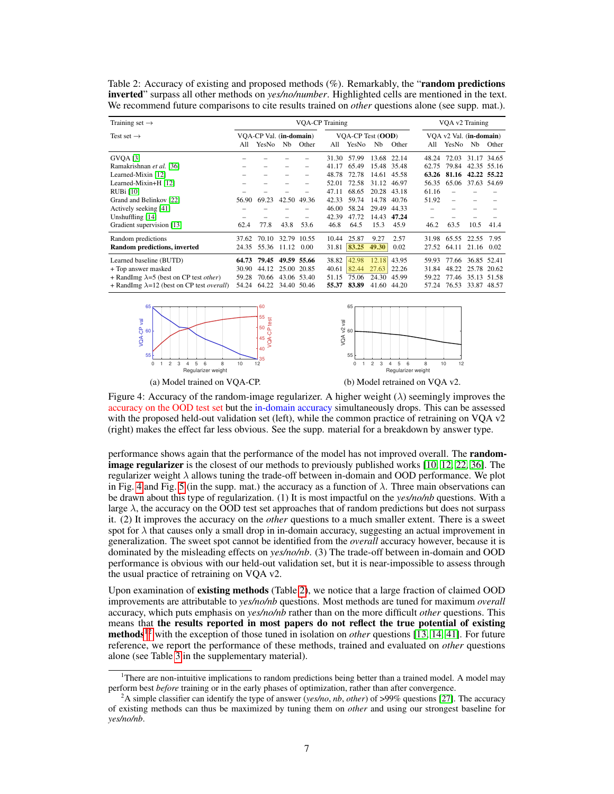<span id="page-6-0"></span>Table 2: Accuracy of existing and proposed methods (%). Remarkably, the "**random predictions** inverted" surpass all other methods on *yes/no/number*. Highlighted cells are mentioned in the text. We recommend future comparisons to cite results trained on *other* questions alone (see supp. mat.).

| Training set $\rightarrow$                                                                                                                                                                                  | <b>VOA-CP Training</b>                    |                                           |                |                                                            |                                                                              |                                                                              |                                                            | VOA v2 Training                                                                          |                                                            |                                           |                |                                                                  |
|-------------------------------------------------------------------------------------------------------------------------------------------------------------------------------------------------------------|-------------------------------------------|-------------------------------------------|----------------|------------------------------------------------------------|------------------------------------------------------------------------------|------------------------------------------------------------------------------|------------------------------------------------------------|------------------------------------------------------------------------------------------|------------------------------------------------------------|-------------------------------------------|----------------|------------------------------------------------------------------|
| Test set $\rightarrow$                                                                                                                                                                                      | All                                       | VOA-CP Val. (in-domain)<br>YesNo          | Nb             | Other                                                      | All                                                                          | VOA-CP Test (OOD)<br>YesNo                                                   | Nb                                                         | Other                                                                                    | All                                                        | VOA v2 Val. (in-domain)<br>YesNo          | Nb             | Other                                                            |
| <b>GVOA</b> [3]<br>Ramakrishnan et al. [36]<br>Learned-Mixin [12]<br>Learned-Mixin+H [12]<br>RUBi [10]<br>Grand and Belinkov [22]<br>Actively seeking [41]<br>Unshuffling [14]<br>Gradient supervision [13] | 56.90<br>62.4                             | 69.23<br>77.8                             | 42.50<br>43.8  | 49.36<br>53.6                                              | 31.30<br>41.17<br>48.78<br>52.01<br>47.11<br>42.33<br>46.00<br>42.39<br>46.8 | 57.99<br>65.49<br>72.78<br>72.58<br>68.65<br>59.74<br>58.24<br>47.72<br>64.5 | 14.61<br>31.12<br>20.28<br>14.78<br>29.49<br>14.43<br>15.3 | 13.68 22.14<br>15.48 35.48<br>45.58<br>46.97<br>43.18<br>40.76<br>44.33<br>47.24<br>45.9 | 48.24<br>62.75<br>63.26<br>56.35<br>61.16<br>51.92<br>46.2 | 72.03<br>79.84<br>81.16<br>65.06<br>63.5  | 10.5           | 31.17 34.65<br>42.35 55.16<br>42.22 55.22<br>37.63 54.69<br>41.4 |
| Random predictions<br>Random predictions, inverted<br>Learned baseline (BUTD)<br>+ Top answer masked<br>+ RandImg $\lambda$ =5 (best on CP test <i>other</i> )                                              | 37.62<br>24.35<br>64.73<br>30.90<br>59.28 | 70.10<br>55.36<br>79.45<br>44.12<br>70.66 | 32.79<br>11.12 | 10.55<br>0.00<br>49.59 55.66<br>25.00 20.85<br>43.06 53.40 | 10.44<br>31.81<br>38.82<br>40.61<br>51.15                                    | 25.87<br>83.25<br>42.98<br>82.44<br>75.06                                    | 9.27<br>49.30<br>12.18<br>27.63<br>24.30                   | 2.57<br>0.02<br>43.95<br>22.26<br>45.99                                                  | 31.98<br>27.52<br>59.93<br>31.84<br>59.22                  | 65.55<br>64.11<br>77.66<br>48.22<br>77.46 | 22.55<br>21.16 | 7.95<br>0.02<br>36.85 52.41<br>25.78 20.62<br>35.13 51.58        |
| + RandImg $\lambda$ =12 (best on CP test <i>overall</i> )                                                                                                                                                   | 54.24                                     | 64.22                                     | 34.40          | 50.46                                                      | 55.37                                                                        | 83.89                                                                        | 41.60                                                      | 44.20                                                                                    | 57.24                                                      | 76.53                                     |                | 33.87 48.57                                                      |

<span id="page-6-1"></span>



(a) Model trained on VQA-CP.

(b) Model retrained on VQA v2.

Figure 4: Accuracy of the random-image regularizer. A higher weight ( $\lambda$ ) seemingly improves the accuracy on the OOD test set but the in-domain accuracy simultaneously drops. This can be assessed with the proposed held-out validation set (left), while the common practice of retraining on VQA v2 (right) makes the effect far less obvious. See the supp. material for a breakdown by answer type.

VQA-CP test

performance shows again that the performance of the model has not improved overall. The random-image regularizer is the closest of our methods to previously published works [\[10,](#page-8-4) [12,](#page-9-5) [22,](#page-9-6) [36\]](#page-10-3). The regularizer weight  $\lambda$  allows tuning the trade-off between in-domain and OOD performance. We plot in Fig. [4](#page-6-1) and Fig. [5](#page--1-1) (in the supp. mat.) the accuracy as a function of  $\lambda$ . Three main observations can be drawn about this type of regularization. (1) It is most impactful on the *yes/no/nb* questions. With a large  $\lambda$ , the accuracy on the OOD test set approaches that of random predictions but does not surpass it. (2) It improves the accuracy on the *other* questions to a much smaller extent. There is a sweet spot for  $\lambda$  that causes only a small drop in in-domain accuracy, suggesting an actual improvement in generalization. The sweet spot cannot be identified from the *overall* accuracy however, because it is dominated by the misleading effects on *yes/no/nb*. (3) The trade-off between in-domain and OOD performance is obvious with our held-out validation set, but it is near-impossible to assess through the usual practice of retraining on VQA v2.

Upon examination of existing methods (Table [2\)](#page-6-0), we notice that a large fraction of claimed OOD improvements are attributable to *yes/no/nb* questions. Most methods are tuned for maximum *overall* accuracy, which puts emphasis on *yes/no/nb* rather than on the more difficult *other* questions. This means that the results reported in most papers do not reflect the true potential of existing methods<sup>[1](#page-6-2)[2](#page-6-3)</sup> with the exception of those tuned in isolation on *other* questions [\[13,](#page-9-13) [14,](#page-9-11) [41\]](#page-10-4). For future reference, we report the performance of these methods, trained and evaluated on *other* questions alone (see Table [3](#page--1-2) in the supplementary material).

<span id="page-6-2"></span> $1$ <sup>1</sup>There are non-intuitive implications to random predictions being better than a trained model. A model may perform best *before* training or in the early phases of optimization, rather than after convergence.

<span id="page-6-3"></span><sup>2</sup>A simple classifier can identify the type of answer (*yes/no*, *nb*, *other*) of >99% questions [\[27\]](#page-9-15). The accuracy of existing methods can thus be maximized by tuning them on *other* and using our strongest baseline for *yes/no/nb*.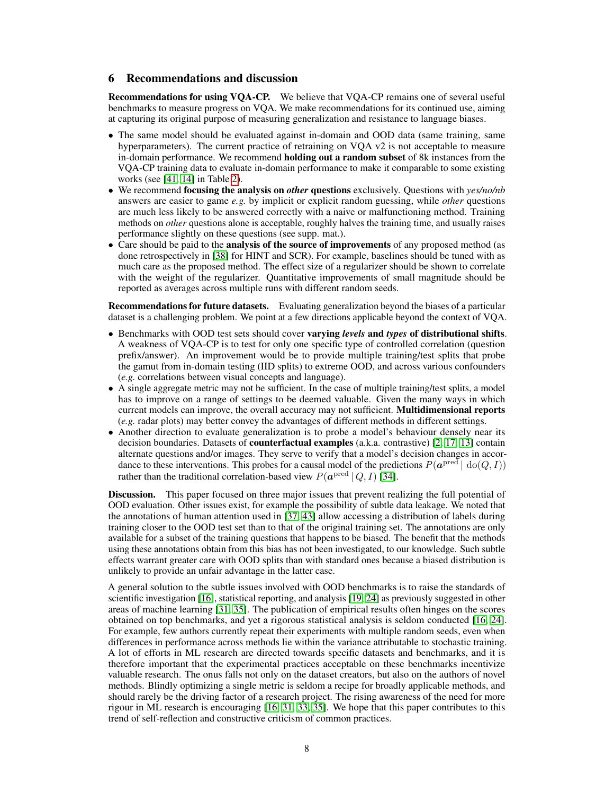## 6 Recommendations and discussion

Recommendations for using VQA-CP. We believe that VQA-CP remains one of several useful benchmarks to measure progress on VQA. We make recommendations for its continued use, aiming at capturing its original purpose of measuring generalization and resistance to language biases.

- The same model should be evaluated against in-domain and OOD data (same training, same hyperparameters). The current practice of retraining on VQA v2 is not acceptable to measure in-domain performance. We recommend holding out a random subset of 8k instances from the VQA-CP training data to evaluate in-domain performance to make it comparable to some existing works (see [\[41,](#page-10-4) [14\]](#page-9-11) in Table [2\)](#page-6-0).
- We recommend focusing the analysis on *other* questions exclusively. Questions with *yes/no/nb* answers are easier to game *e.g.* by implicit or explicit random guessing, while *other* questions are much less likely to be answered correctly with a naive or malfunctioning method. Training methods on *other* questions alone is acceptable, roughly halves the training time, and usually raises performance slightly on these questions (see supp. mat.).
- Care should be paid to the **analysis of the source of improvements** of any proposed method (as done retrospectively in [\[38\]](#page-10-8) for HINT and SCR). For example, baselines should be tuned with as much care as the proposed method. The effect size of a regularizer should be shown to correlate with the weight of the regularizer. Quantitative improvements of small magnitude should be reported as averages across multiple runs with different random seeds.

Recommendations for future datasets. Evaluating generalization beyond the biases of a particular dataset is a challenging problem. We point at a few directions applicable beyond the context of VQA.

- Benchmarks with OOD test sets should cover varying *levels* and *types* of distributional shifts. A weakness of VQA-CP is to test for only one specific type of controlled correlation (question prefix/answer). An improvement would be to provide multiple training/test splits that probe the gamut from in-domain testing (IID splits) to extreme OOD, and across various confounders (*e.g.* correlations between visual concepts and language).
- A single aggregate metric may not be sufficient. In the case of multiple training/test splits, a model has to improve on a range of settings to be deemed valuable. Given the many ways in which current models can improve, the overall accuracy may not sufficient. Multidimensional reports (*e.g.* radar plots) may better convey the advantages of different methods in different settings.
- Another direction to evaluate generalization is to probe a model's behaviour densely near its decision boundaries. Datasets of counterfactual examples (a.k.a. contrastive) [\[2,](#page-8-10) [17,](#page-9-16) [13\]](#page-9-13) contain alternate questions and/or images. They serve to verify that a model's decision changes in accordance to these interventions. This probes for a causal model of the predictions  $P(\boldsymbol{a}^{\text{pred}} \mid \text{do}(Q, I))$ rather than the traditional correlation-based view  $P(\boldsymbol{a}^{\text{pred}} | Q, I)$  [\[34\]](#page-10-9).

Discussion. This paper focused on three major issues that prevent realizing the full potential of OOD evaluation. Other issues exist, for example the possibility of subtle data leakage. We noted that the annotations of human attention used in [\[37,](#page-10-5) [43\]](#page-10-6) allow accessing a distribution of labels during training closer to the OOD test set than to that of the original training set. The annotations are only available for a subset of the training questions that happens to be biased. The benefit that the methods using these annotations obtain from this bias has not been investigated, to our knowledge. Such subtle effects warrant greater care with OOD splits than with standard ones because a biased distribution is unlikely to provide an unfair advantage in the latter case.

A general solution to the subtle issues involved with OOD benchmarks is to raise the standards of scientific investigation [\[16\]](#page-9-17), statistical reporting, and analysis [\[19,](#page-9-18) [24\]](#page-9-19) as previously suggested in other areas of machine learning [\[31,](#page-9-20) [35\]](#page-10-10). The publication of empirical results often hinges on the scores obtained on top benchmarks, and yet a rigorous statistical analysis is seldom conducted [\[16,](#page-9-17) [24\]](#page-9-19). For example, few authors currently repeat their experiments with multiple random seeds, even when differences in performance across methods lie within the variance attributable to stochastic training. A lot of efforts in ML research are directed towards specific datasets and benchmarks, and it is therefore important that the experimental practices acceptable on these benchmarks incentivize valuable research. The onus falls not only on the dataset creators, but also on the authors of novel methods. Blindly optimizing a single metric is seldom a recipe for broadly applicable methods, and should rarely be the driving factor of a research project. The rising awareness of the need for more rigour in ML research is encouraging [\[16,](#page-9-17) [31,](#page-9-20) [33,](#page-10-11) [35\]](#page-10-10). We hope that this paper contributes to this trend of self-reflection and constructive criticism of common practices.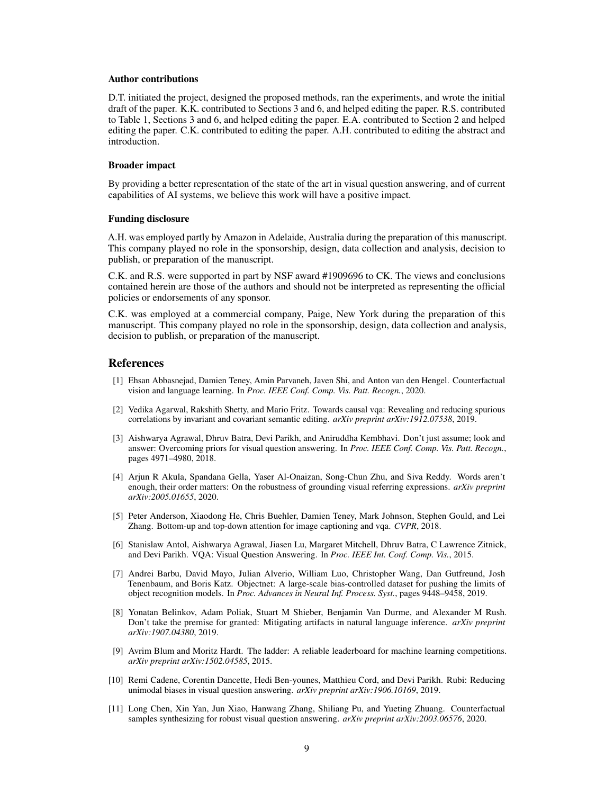#### Author contributions

D.T. initiated the project, designed the proposed methods, ran the experiments, and wrote the initial draft of the paper. K.K. contributed to Sections 3 and 6, and helped editing the paper. R.S. contributed to Table 1, Sections 3 and 6, and helped editing the paper. E.A. contributed to Section 2 and helped editing the paper. C.K. contributed to editing the paper. A.H. contributed to editing the abstract and introduction.

#### Broader impact

By providing a better representation of the state of the art in visual question answering, and of current capabilities of AI systems, we believe this work will have a positive impact.

## Funding disclosure

A.H. was employed partly by Amazon in Adelaide, Australia during the preparation of this manuscript. This company played no role in the sponsorship, design, data collection and analysis, decision to publish, or preparation of the manuscript.

C.K. and R.S. were supported in part by NSF award #1909696 to CK. The views and conclusions contained herein are those of the authors and should not be interpreted as representing the official policies or endorsements of any sponsor.

C.K. was employed at a commercial company, Paige, New York during the preparation of this manuscript. This company played no role in the sponsorship, design, data collection and analysis, decision to publish, or preparation of the manuscript.

## **References**

- <span id="page-8-6"></span>[1] Ehsan Abbasnejad, Damien Teney, Amin Parvaneh, Javen Shi, and Anton van den Hengel. Counterfactual vision and language learning. In *Proc. IEEE Conf. Comp. Vis. Patt. Recogn.*, 2020.
- <span id="page-8-10"></span>[2] Vedika Agarwal, Rakshith Shetty, and Mario Fritz. Towards causal vqa: Revealing and reducing spurious correlations by invariant and covariant semantic editing. *arXiv preprint arXiv:1912.07538*, 2019.
- <span id="page-8-0"></span>[3] Aishwarya Agrawal, Dhruv Batra, Devi Parikh, and Aniruddha Kembhavi. Don't just assume; look and answer: Overcoming priors for visual question answering. In *Proc. IEEE Conf. Comp. Vis. Patt. Recogn.*, pages 4971–4980, 2018.
- <span id="page-8-1"></span>[4] Arjun R Akula, Spandana Gella, Yaser Al-Onaizan, Song-Chun Zhu, and Siva Reddy. Words aren't enough, their order matters: On the robustness of grounding visual referring expressions. *arXiv preprint arXiv:2005.01655*, 2020.
- <span id="page-8-5"></span>[5] Peter Anderson, Xiaodong He, Chris Buehler, Damien Teney, Mark Johnson, Stephen Gould, and Lei Zhang. Bottom-up and top-down attention for image captioning and vqa. *CVPR*, 2018.
- <span id="page-8-3"></span>[6] Stanislaw Antol, Aishwarya Agrawal, Jiasen Lu, Margaret Mitchell, Dhruv Batra, C Lawrence Zitnick, and Devi Parikh. VQA: Visual Question Answering. In *Proc. IEEE Int. Conf. Comp. Vis.*, 2015.
- <span id="page-8-2"></span>[7] Andrei Barbu, David Mayo, Julian Alverio, William Luo, Christopher Wang, Dan Gutfreund, Josh Tenenbaum, and Boris Katz. Objectnet: A large-scale bias-controlled dataset for pushing the limits of object recognition models. In *Proc. Advances in Neural Inf. Process. Syst.*, pages 9448–9458, 2019.
- <span id="page-8-9"></span>[8] Yonatan Belinkov, Adam Poliak, Stuart M Shieber, Benjamin Van Durme, and Alexander M Rush. Don't take the premise for granted: Mitigating artifacts in natural language inference. *arXiv preprint arXiv:1907.04380*, 2019.
- <span id="page-8-8"></span>[9] Avrim Blum and Moritz Hardt. The ladder: A reliable leaderboard for machine learning competitions. *arXiv preprint arXiv:1502.04585*, 2015.
- <span id="page-8-4"></span>[10] Remi Cadene, Corentin Dancette, Hedi Ben-younes, Matthieu Cord, and Devi Parikh. Rubi: Reducing unimodal biases in visual question answering. *arXiv preprint arXiv:1906.10169*, 2019.
- <span id="page-8-7"></span>[11] Long Chen, Xin Yan, Jun Xiao, Hanwang Zhang, Shiliang Pu, and Yueting Zhuang. Counterfactual samples synthesizing for robust visual question answering. *arXiv preprint arXiv:2003.06576*, 2020.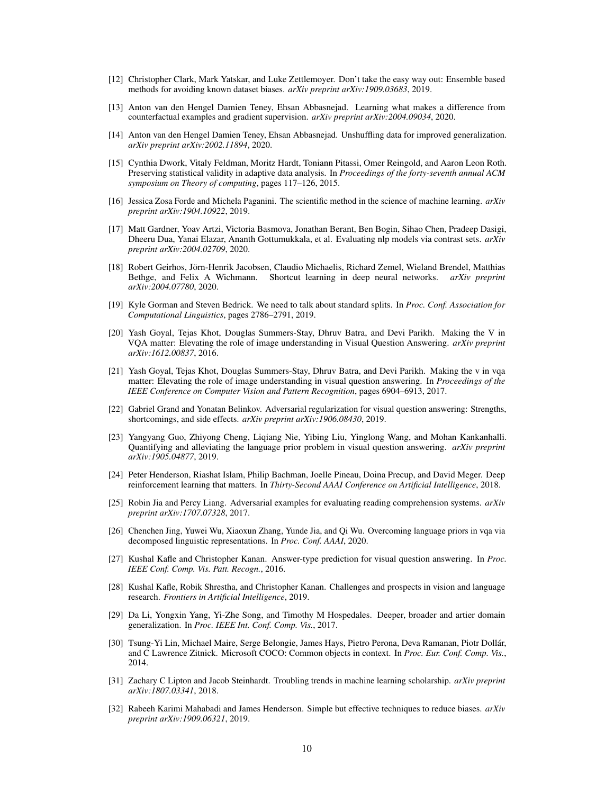- <span id="page-9-5"></span>[12] Christopher Clark, Mark Yatskar, and Luke Zettlemoyer. Don't take the easy way out: Ensemble based methods for avoiding known dataset biases. *arXiv preprint arXiv:1909.03683*, 2019.
- <span id="page-9-13"></span>[13] Anton van den Hengel Damien Teney, Ehsan Abbasnejad. Learning what makes a difference from counterfactual examples and gradient supervision. *arXiv preprint arXiv:2004.09034*, 2020.
- <span id="page-9-11"></span>[14] Anton van den Hengel Damien Teney, Ehsan Abbasnejad. Unshuffling data for improved generalization. *arXiv preprint arXiv:2002.11894*, 2020.
- <span id="page-9-14"></span>[15] Cynthia Dwork, Vitaly Feldman, Moritz Hardt, Toniann Pitassi, Omer Reingold, and Aaron Leon Roth. Preserving statistical validity in adaptive data analysis. In *Proceedings of the forty-seventh annual ACM symposium on Theory of computing*, pages 117–126, 2015.
- <span id="page-9-17"></span>[16] Jessica Zosa Forde and Michela Paganini. The scientific method in the science of machine learning. *arXiv preprint arXiv:1904.10922*, 2019.
- <span id="page-9-16"></span>[17] Matt Gardner, Yoav Artzi, Victoria Basmova, Jonathan Berant, Ben Bogin, Sihao Chen, Pradeep Dasigi, Dheeru Dua, Yanai Elazar, Ananth Gottumukkala, et al. Evaluating nlp models via contrast sets. *arXiv preprint arXiv:2004.02709*, 2020.
- <span id="page-9-10"></span>[18] Robert Geirhos, Jörn-Henrik Jacobsen, Claudio Michaelis, Richard Zemel, Wieland Brendel, Matthias Bethge, and Felix A Wichmann. Shortcut learning in deep neural networks. *arXiv preprint arXiv:2004.07780*, 2020.
- <span id="page-9-18"></span>[19] Kyle Gorman and Steven Bedrick. We need to talk about standard splits. In *Proc. Conf. Association for Computational Linguistics*, pages 2786–2791, 2019.
- <span id="page-9-4"></span>[20] Yash Goyal, Tejas Khot, Douglas Summers-Stay, Dhruv Batra, and Devi Parikh. Making the V in VQA matter: Elevating the role of image understanding in Visual Question Answering. *arXiv preprint arXiv:1612.00837*, 2016.
- <span id="page-9-9"></span>[21] Yash Goyal, Tejas Khot, Douglas Summers-Stay, Dhruv Batra, and Devi Parikh. Making the v in vqa matter: Elevating the role of image understanding in visual question answering. In *Proceedings of the IEEE Conference on Computer Vision and Pattern Recognition*, pages 6904–6913, 2017.
- <span id="page-9-6"></span>[22] Gabriel Grand and Yonatan Belinkov. Adversarial regularization for visual question answering: Strengths, shortcomings, and side effects. *arXiv preprint arXiv:1906.08430*, 2019.
- <span id="page-9-1"></span>[23] Yangyang Guo, Zhiyong Cheng, Liqiang Nie, Yibing Liu, Yinglong Wang, and Mohan Kankanhalli. Quantifying and alleviating the language prior problem in visual question answering. *arXiv preprint arXiv:1905.04877*, 2019.
- <span id="page-9-19"></span>[24] Peter Henderson, Riashat Islam, Philip Bachman, Joelle Pineau, Doina Precup, and David Meger. Deep reinforcement learning that matters. In *Thirty-Second AAAI Conference on Artificial Intelligence*, 2018.
- <span id="page-9-2"></span>[25] Robin Jia and Percy Liang. Adversarial examples for evaluating reading comprehension systems. *arXiv preprint arXiv:1707.07328*, 2017.
- <span id="page-9-12"></span>[26] Chenchen Jing, Yuwei Wu, Xiaoxun Zhang, Yunde Jia, and Qi Wu. Overcoming language priors in vqa via decomposed linguistic representations. In *Proc. Conf. AAAI*, 2020.
- <span id="page-9-15"></span>[27] Kushal Kafle and Christopher Kanan. Answer-type prediction for visual question answering. In *Proc. IEEE Conf. Comp. Vis. Patt. Recogn.*, 2016.
- <span id="page-9-0"></span>[28] Kushal Kafle, Robik Shrestha, and Christopher Kanan. Challenges and prospects in vision and language research. *Frontiers in Artificial Intelligence*, 2019.
- <span id="page-9-3"></span>[29] Da Li, Yongxin Yang, Yi-Zhe Song, and Timothy M Hospedales. Deeper, broader and artier domain generalization. In *Proc. IEEE Int. Conf. Comp. Vis.*, 2017.
- <span id="page-9-8"></span>[30] Tsung-Yi Lin, Michael Maire, Serge Belongie, James Hays, Pietro Perona, Deva Ramanan, Piotr Dollár, and C Lawrence Zitnick. Microsoft COCO: Common objects in context. In *Proc. Eur. Conf. Comp. Vis.*, 2014.
- <span id="page-9-20"></span>[31] Zachary C Lipton and Jacob Steinhardt. Troubling trends in machine learning scholarship. *arXiv preprint arXiv:1807.03341*, 2018.
- <span id="page-9-7"></span>[32] Rabeeh Karimi Mahabadi and James Henderson. Simple but effective techniques to reduce biases. *arXiv preprint arXiv:1909.06321*, 2019.